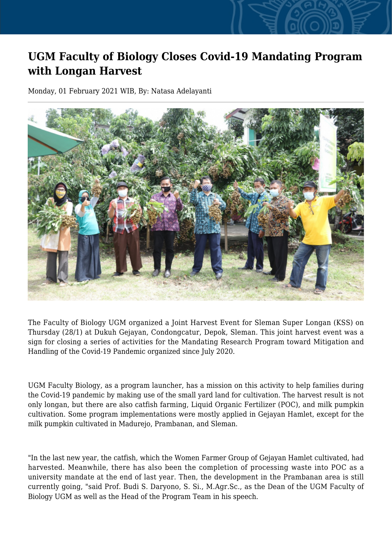## **UGM Faculty of Biology Closes Covid-19 Mandating Program with Longan Harvest**

Monday, 01 February 2021 WIB, By: Natasa Adelayanti



The Faculty of Biology UGM organized a Joint Harvest Event for Sleman Super Longan (KSS) on Thursday (28/1) at Dukuh Gejayan, Condongcatur, Depok, Sleman. This joint harvest event was a sign for closing a series of activities for the Mandating Research Program toward Mitigation and Handling of the Covid-19 Pandemic organized since July 2020.

UGM Faculty Biology, as a program launcher, has a mission on this activity to help families during the Covid-19 pandemic by making use of the small yard land for cultivation. The harvest result is not only longan, but there are also catfish farming, Liquid Organic Fertilizer (POC), and milk pumpkin cultivation. Some program implementations were mostly applied in Gejayan Hamlet, except for the milk pumpkin cultivated in Madurejo, Prambanan, and Sleman.

"In the last new year, the catfish, which the Women Farmer Group of Gejayan Hamlet cultivated, had harvested. Meanwhile, there has also been the completion of processing waste into POC as a university mandate at the end of last year. Then, the development in the Prambanan area is still currently going, "said Prof. Budi S. Daryono, S. Si., M.Agr.Sc., as the Dean of the UGM Faculty of Biology UGM as well as the Head of the Program Team in his speech.